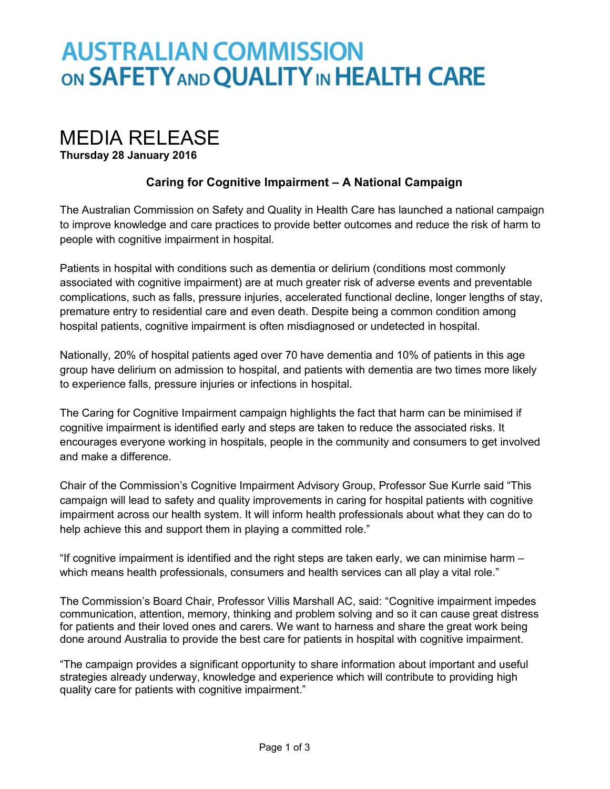# **AUSTRALIAN COMMISSION** ON SAFETY AND QUALITY IN HEALTH CARE

## MEDIA RELEASE

**Thursday 28 January 2016**

### **Caring for Cognitive Impairment – A National Campaign**

The Australian Commission on Safety and Quality in Health Care has launched a national campaign to improve knowledge and care practices to provide better outcomes and reduce the risk of harm to people with cognitive impairment in hospital.

Patients in hospital with conditions such as dementia or delirium (conditions most commonly associated with cognitive impairment) are at much greater risk of adverse events and preventable complications, such as falls, pressure injuries, accelerated functional decline, longer lengths of stay, premature entry to residential care and even death. Despite being a common condition among hospital patients, cognitive impairment is often misdiagnosed or undetected in hospital.

Nationally, 20% of hospital patients aged over 70 have dementia and 10% of patients in this age group have delirium on admission to hospital, and patients with dementia are two times more likely to experience falls, pressure injuries or infections in hospital.

The Caring for Cognitive Impairment campaign highlights the fact that harm can be minimised if cognitive impairment is identified early and steps are taken to reduce the associated risks. It encourages everyone working in hospitals, people in the community and consumers to get involved and make a difference.

Chair of the Commission's Cognitive Impairment Advisory Group, Professor Sue Kurrle said "This campaign will lead to safety and quality improvements in caring for hospital patients with cognitive impairment across our health system. It will inform health professionals about what they can do to help achieve this and support them in playing a committed role."

"If cognitive impairment is identified and the right steps are taken early, we can minimise harm – which means health professionals, consumers and health services can all play a vital role."

The Commission's Board Chair, Professor Villis Marshall AC, said: "Cognitive impairment impedes communication, attention, memory, thinking and problem solving and so it can cause great distress for patients and their loved ones and carers. We want to harness and share the great work being done around Australia to provide the best care for patients in hospital with cognitive impairment.

"The campaign provides a significant opportunity to share information about important and useful strategies already underway, knowledge and experience which will contribute to providing high quality care for patients with cognitive impairment."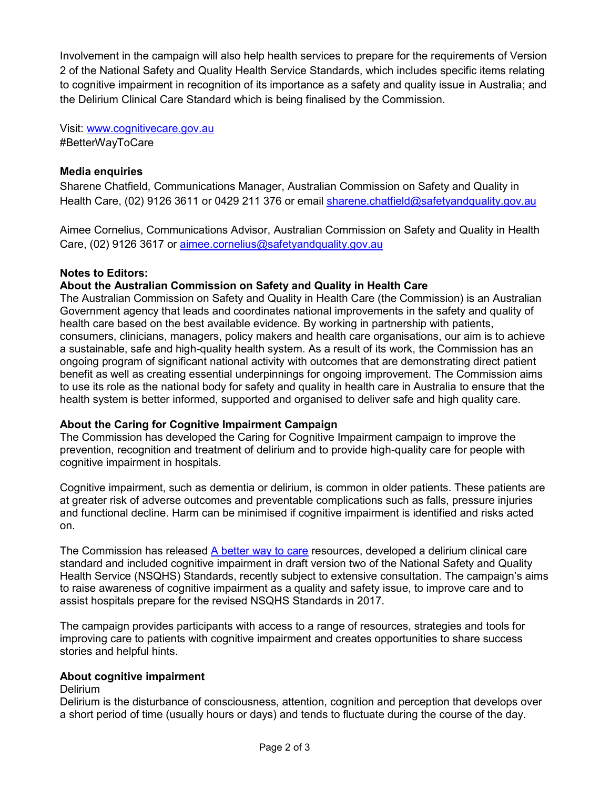Involvement in the campaign will also help health services to prepare for the requirements of Version 2 of the National Safety and Quality Health Service Standards, which includes specific items relating to cognitive impairment in recognition of its importance as a safety and quality issue in Australia; and the Delirium Clinical Care Standard which is being finalised by the Commission.

Visit: [www.cognitivecare.gov.au](http://www.cognitivecare.gov.au/) #BetterWayToCare

#### **Media enquiries**

Sharene Chatfield, Communications Manager, Australian Commission on Safety and Quality in Health Care, (02) 9126 3611 or 0429 211 376 or email [sharene.chatfield@safetyandquality.gov.au](mailto:sharene.chatfield@safetyandquality.gov.au)

Aimee Cornelius, Communications Advisor, Australian Commission on Safety and Quality in Health Care, (02) 9126 3617 or [aimee.cornelius@safetyandquality.gov.au](mailto:aimee.cornelius@safetyandquality.gov.au)

#### **Notes to Editors:**

#### **About the Australian Commission on Safety and Quality in Health Care**

The Australian Commission on Safety and Quality in Health Care (the Commission) is an Australian Government agency that leads and coordinates national improvements in the safety and quality of health care based on the best available evidence. By working in partnership with patients, consumers, clinicians, managers, policy makers and health care organisations, our aim is to achieve a sustainable, safe and high-quality health system. As a result of its work, the Commission has an ongoing program of significant national activity with outcomes that are demonstrating direct patient benefit as well as creating essential underpinnings for ongoing improvement. The Commission aims to use its role as the national body for safety and quality in health care in Australia to ensure that the health system is better informed, supported and organised to deliver safe and high quality care.

#### **About the Caring for Cognitive Impairment Campaign**

The Commission has developed the Caring for Cognitive Impairment campaign to improve the prevention, recognition and treatment of delirium and to provide high-quality care for people with cognitive impairment in hospitals.

Cognitive impairment, such as dementia or delirium, is common in older patients. These patients are at greater risk of adverse outcomes and preventable complications such as falls, pressure injuries and functional decline. Harm can be minimised if cognitive impairment is identified and risks acted on.

The Commission has released [A better way to care](http://www.safetyandquality.gov.au/our-work/cognitive-impairment/better-way-to-care/) resources, developed a delirium clinical care standard and included cognitive impairment in draft version two of the National Safety and Quality Health Service (NSQHS) Standards, recently subject to extensive consultation. The campaign's aims to raise awareness of cognitive impairment as a quality and safety issue, to improve care and to assist hospitals prepare for the revised NSQHS Standards in 2017.

The campaign provides participants with access to a range of resources, strategies and tools for improving care to patients with cognitive impairment and creates opportunities to share success stories and helpful hints.

#### **About cognitive impairment**

#### Delirium

Delirium is the disturbance of consciousness, attention, cognition and perception that develops over a short period of time (usually hours or days) and tends to fluctuate during the course of the day.